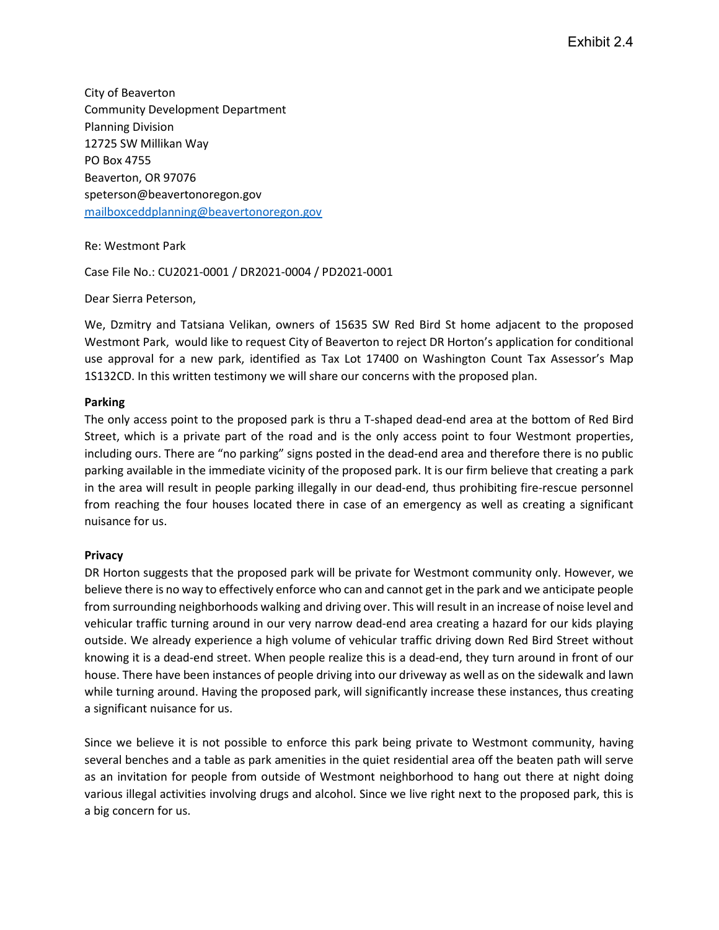City of Beaverton Community Development Department Planning Division 12725 SW Millikan Way PO Box 4755 Beaverton, OR 97076 speterson@beavertonoregon.gov mailboxceddplanning@beavertonoregon.gov

Re: Westmont Park

Case File No.: CU2021-0001 / DR2021-0004 / PD2021-0001

Dear Sierra Peterson,

We, Dzmitry and Tatsiana Velikan, owners of 15635 SW Red Bird St home adjacent to the proposed Westmont Park, would like to request City of Beaverton to reject DR Horton's application for conditional use approval for a new park, identified as Tax Lot 17400 on Washington Count Tax Assessor's Map 1S132CD. In this written testimony we will share our concerns with the proposed plan.

## Parking

The only access point to the proposed park is thru a T-shaped dead-end area at the bottom of Red Bird Street, which is a private part of the road and is the only access point to four Westmont properties, including ours. There are "no parking" signs posted in the dead-end area and therefore there is no public parking available in the immediate vicinity of the proposed park. It is our firm believe that creating a park in the area will result in people parking illegally in our dead-end, thus prohibiting fire-rescue personnel from reaching the four houses located there in case of an emergency as well as creating a significant nuisance for us.

## Privacy

DR Horton suggests that the proposed park will be private for Westmont community only. However, we believe there is no way to effectively enforce who can and cannot get in the park and we anticipate people from surrounding neighborhoods walking and driving over. This will result in an increase of noise level and vehicular traffic turning around in our very narrow dead-end area creating a hazard for our kids playing outside. We already experience a high volume of vehicular traffic driving down Red Bird Street without knowing it is a dead-end street. When people realize this is a dead-end, they turn around in front of our house. There have been instances of people driving into our driveway as well as on the sidewalk and lawn while turning around. Having the proposed park, will significantly increase these instances, thus creating a significant nuisance for us.

Since we believe it is not possible to enforce this park being private to Westmont community, having several benches and a table as park amenities in the quiet residential area off the beaten path will serve as an invitation for people from outside of Westmont neighborhood to hang out there at night doing various illegal activities involving drugs and alcohol. Since we live right next to the proposed park, this is a big concern for us.